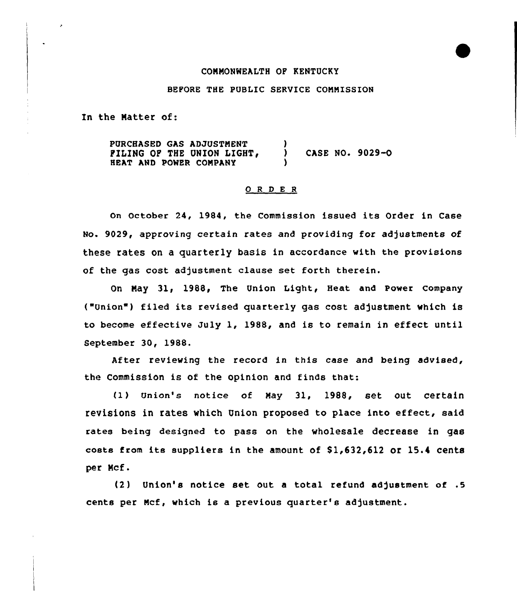## CONNONWEALTH OF KENTUCKY

## BEFORE THE PUBLIC SERVICE CONNISSION

In the Natter of:

PURCHASED GAS ADJUSTNENT FILING OF THE UNION LIGHT, HEAT AND POMER CONPANY ) ) CASE No. 9029-0 )

### 0 <sup>R</sup> <sup>D</sup> E <sup>R</sup>

On October 24, 1984, the Commission issued its Order in Case No. 9029, approving certain rates and providing for adjustments of these rates on a quarterly basis in accordance with the provisions of the gas cost adjustment clause set forth therein.

On May 31, 1988, The Union Light, Heat and Power Company ("Union") filed its revised quarterly gas cost adjustment which is to become effective July 1, 1988, and is to remain in effect until September 30, 1988.

After reviewing the record in this case and being advised, the Commission is of the opinion and finds that:

(1) Union's notice of May 31, 1988, set out certain revisions in rates which Union proposed to place into effect, said rates being designed to pass on the wholesale decrease in gas costs from its suppliers in the amount of \$1,632,612 or 15.4 cents per Mcf.

 $(2)$  Union's notice set out a total refund adjustment of .5 cents per Mcf, which is a previous quarter's adjustment.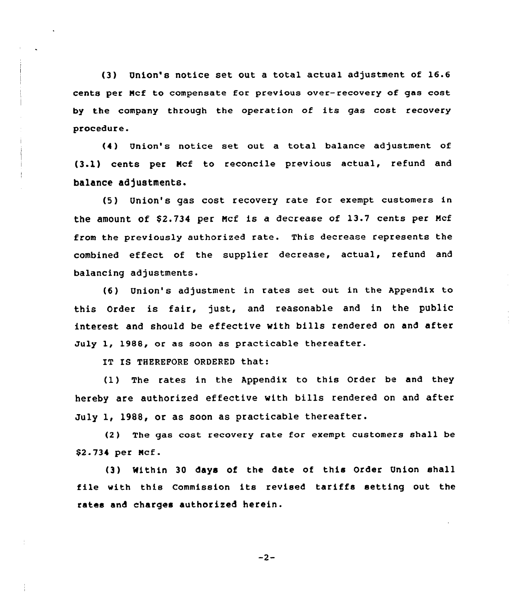(3) Union's notice set out a total actual adjustment of 16.6 cents per Ncf to compensate for previous over-recovery of gas cost by the company through the operation of its gas cost recovery procedure.

(4) Union's notice set out a total balance adjustment of (3.1) cents per Mcf to reconcile previous actual, refund and balance adjustments.

(5) Union's gas cost recovery rate for exempt customers in the amount of \$2.734 per Ncf is a decrease of 13.7 cents per Ncf from the previously authorized rate. This decrease represents the combined effect of the supplier decrease, actual, refund and balancing adjustments.

(6) Union's adjustment in rates set out in the Appendix to this Order is fair, just, and reasonable and in the public interest and should be effective with bills rendered on and after July 1, 1988, or as soon as practicable thereafter.

IT IS THEREFORE ORDERED that:

(1) The rates in the Appendix to this Order be and they hereby are authorized effective with bills rendered on and after July 1, 1988, or as soon as practicable thereafter.

(2) The gas cost recovery rate for exempt customers shall be \$2-734 per Ncf.

(3) Mithin 30 days of the date of this Order Union shall file with this Commission its revised tariffs setting out the rates and charges authorized herein.

 $-2-$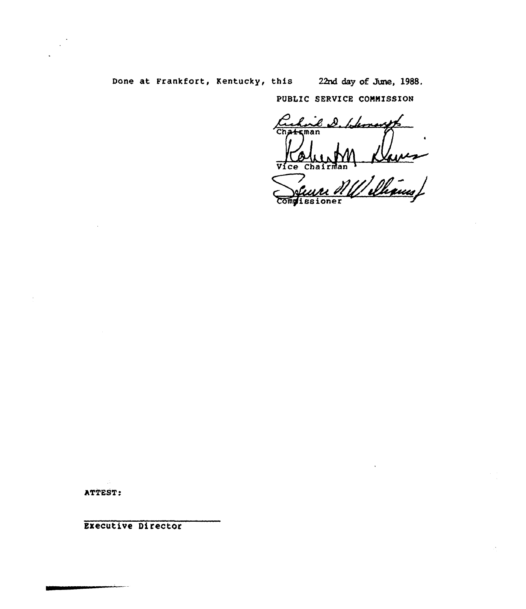# Done at Frankfort, Kentucky, this 22nd day of June, 1988.

PUBLIC SERVICE COMMISSION

 $e\,\mathscr{Q}$ . Hemosph Chateman Vice Chairman

I Davis<br>Velkaus/ Compissioner

ATTEST:

Executive Director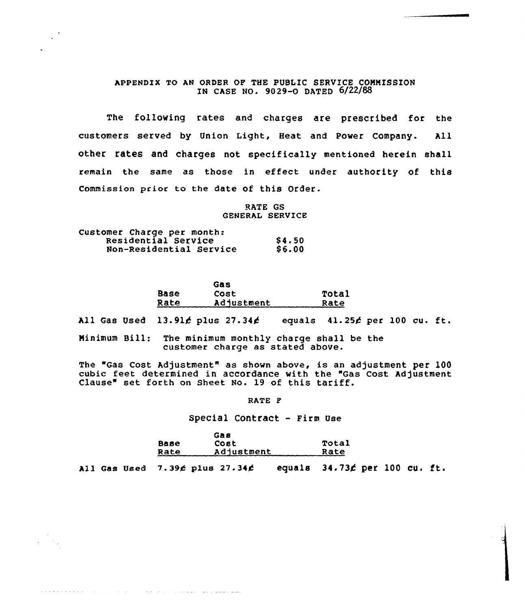# APPENDIX TO AN ORDER OF THE PUBLIC SERVICE COMMISSION IN CASE NO. 9029-0 DATED 6/22/88

The following rates and charges are prescribed for the customers served by Union Light, Heat and Power Company. All other rates and charges not specifically mentioned herein shall remain the same as those in effect under authority of this Commission prior to the date of this Order.

> RATE GS GENERAL SERVICE

| Customer Charge per month: |        |
|----------------------------|--------|
| Residential Service        | \$4.50 |
| Non-Residential Service    | \$6.00 |

and we have a construction of the product of

|      | Gas        |       |
|------|------------|-------|
| Base | Cost       | Total |
| Rate | Adjustment | Rate  |

All Gas Used  $13.91$  plus  $27.34$  equals  $41.25$  per 100 cu. ft.

Minimum Bill: The minimum monthly charge shall be the customer charge as stated above.

The "Gas Cost Adjustment" as shown above, is an adjustment per 100 cubic feet determined in accordance with the "Gas Cost Adjustment Clause" set forth on Sheet No. 19 of this tariff.

RATE F

#### Special Contract - Firm Use

|             | <b>Gas</b> |       |
|-------------|------------|-------|
| <b>Base</b> | Cost       | Total |
| Rate        | Adjustment | Rate  |

All Gas Used  $7.39$ ć plus 27.34 $\phi$  equals 34.73 $\phi$  per 100 cu. ft.